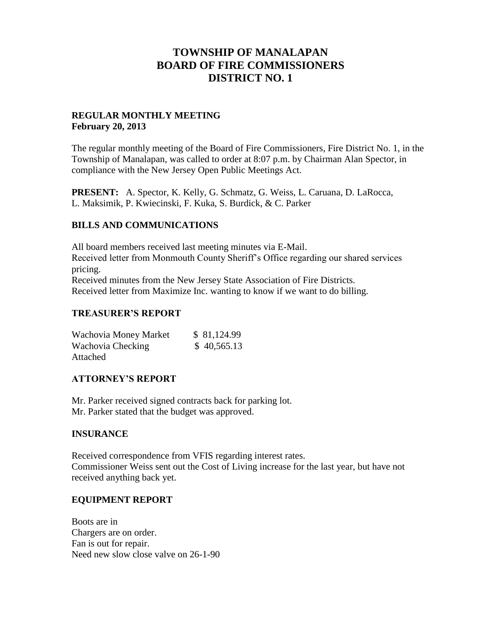# **TOWNSHIP OF MANALAPAN BOARD OF FIRE COMMISSIONERS DISTRICT NO. 1**

## **REGULAR MONTHLY MEETING February 20, 2013**

The regular monthly meeting of the Board of Fire Commissioners, Fire District No. 1, in the Township of Manalapan, was called to order at 8:07 p.m. by Chairman Alan Spector, in compliance with the New Jersey Open Public Meetings Act.

**PRESENT:** A. Spector, K. Kelly, G. Schmatz, G. Weiss, L. Caruana, D. LaRocca, L. Maksimik, P. Kwiecinski, F. Kuka, S. Burdick, & C. Parker

## **BILLS AND COMMUNICATIONS**

All board members received last meeting minutes via E-Mail. Received letter from Monmouth County Sheriff's Office regarding our shared services pricing. Received minutes from the New Jersey State Association of Fire Districts. Received letter from Maximize Inc. wanting to know if we want to do billing.

#### **TREASURER'S REPORT**

| Wachovia Money Market | \$81,124.99 |
|-----------------------|-------------|
| Wachovia Checking     | \$40,565.13 |
| Attached              |             |

#### **ATTORNEY'S REPORT**

Mr. Parker received signed contracts back for parking lot. Mr. Parker stated that the budget was approved.

#### **INSURANCE**

Received correspondence from VFIS regarding interest rates. Commissioner Weiss sent out the Cost of Living increase for the last year, but have not received anything back yet.

#### **EQUIPMENT REPORT**

Boots are in Chargers are on order. Fan is out for repair. Need new slow close valve on 26-1-90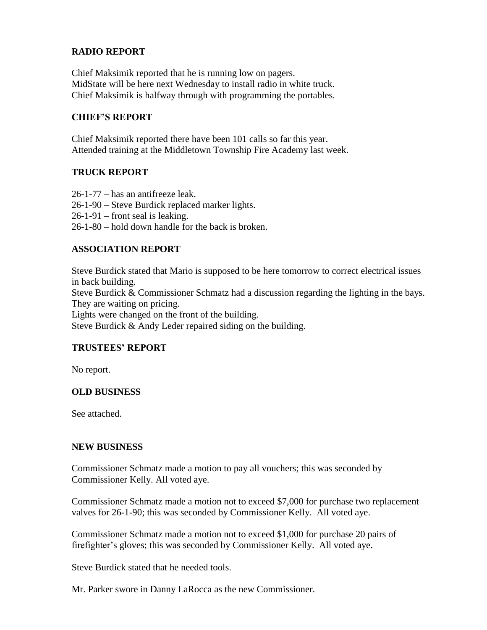## **RADIO REPORT**

Chief Maksimik reported that he is running low on pagers. MidState will be here next Wednesday to install radio in white truck. Chief Maksimik is halfway through with programming the portables.

## **CHIEF'S REPORT**

Chief Maksimik reported there have been 101 calls so far this year. Attended training at the Middletown Township Fire Academy last week.

## **TRUCK REPORT**

26-1-77 – has an antifreeze leak. 26-1-90 – Steve Burdick replaced marker lights. 26-1-91 – front seal is leaking. 26-1-80 – hold down handle for the back is broken.

## **ASSOCIATION REPORT**

Steve Burdick stated that Mario is supposed to be here tomorrow to correct electrical issues in back building. Steve Burdick & Commissioner Schmatz had a discussion regarding the lighting in the bays. They are waiting on pricing. Lights were changed on the front of the building. Steve Burdick & Andy Leder repaired siding on the building.

## **TRUSTEES' REPORT**

No report.

#### **OLD BUSINESS**

See attached.

#### **NEW BUSINESS**

Commissioner Schmatz made a motion to pay all vouchers; this was seconded by Commissioner Kelly. All voted aye.

Commissioner Schmatz made a motion not to exceed \$7,000 for purchase two replacement valves for 26-1-90; this was seconded by Commissioner Kelly. All voted aye.

Commissioner Schmatz made a motion not to exceed \$1,000 for purchase 20 pairs of firefighter's gloves; this was seconded by Commissioner Kelly. All voted aye.

Steve Burdick stated that he needed tools.

Mr. Parker swore in Danny LaRocca as the new Commissioner.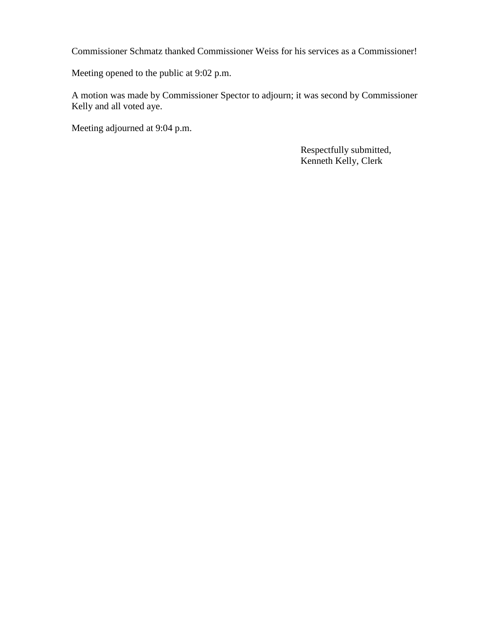Commissioner Schmatz thanked Commissioner Weiss for his services as a Commissioner!

Meeting opened to the public at 9:02 p.m.

A motion was made by Commissioner Spector to adjourn; it was second by Commissioner Kelly and all voted aye.

Meeting adjourned at 9:04 p.m.

 Respectfully submitted, Kenneth Kelly, Clerk